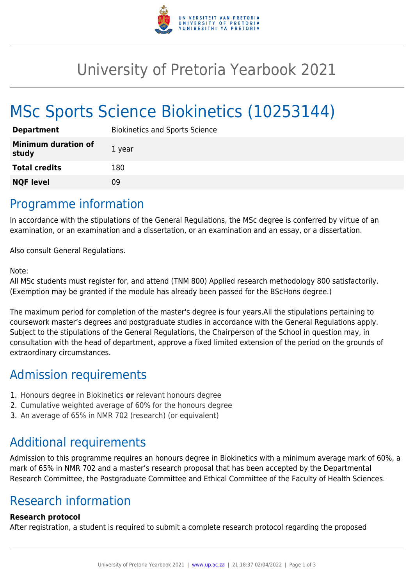

## University of Pretoria Yearbook 2021

# MSc Sports Science Biokinetics (10253144)

| <b>Department</b>                   | <b>Biokinetics and Sports Science</b> |
|-------------------------------------|---------------------------------------|
| <b>Minimum duration of</b><br>study | 1 year                                |
| <b>Total credits</b>                | 180                                   |
| <b>NQF level</b>                    | Ωd                                    |

### Programme information

In accordance with the stipulations of the General Regulations, the MSc degree is conferred by virtue of an examination, or an examination and a dissertation, or an examination and an essay, or a dissertation.

Also consult General Regulations.

#### Note:

All MSc students must register for, and attend (TNM 800) Applied research methodology 800 satisfactorily. (Exemption may be granted if the module has already been passed for the BScHons degree.)

The maximum period for completion of the master's degree is four years.All the stipulations pertaining to coursework master's degrees and postgraduate studies in accordance with the General Regulations apply. Subject to the stipulations of the General Regulations, the Chairperson of the School in question may, in consultation with the head of department, approve a fixed limited extension of the period on the grounds of extraordinary circumstances.

### Admission requirements

- 1. Honours degree in Biokinetics **or** relevant honours degree
- 2. Cumulative weighted average of 60% for the honours degree
- 3. An average of 65% in NMR 702 (research) (or equivalent)

## Additional requirements

Admission to this programme requires an honours degree in Biokinetics with a minimum average mark of 60%, a mark of 65% in NMR 702 and a master's research proposal that has been accepted by the Departmental Research Committee, the Postgraduate Committee and Ethical Committee of the Faculty of Health Sciences.

### Research information

#### **Research protocol**

After registration, a student is required to submit a complete research protocol regarding the proposed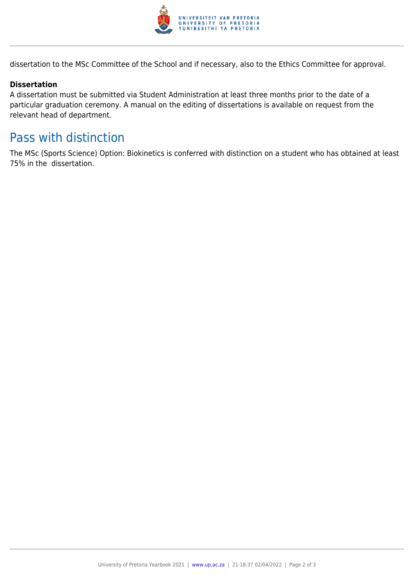

dissertation to the MSc Committee of the School and if necessary, also to the Ethics Committee for approval.

#### **Dissertation**

A dissertation must be submitted via Student Administration at least three months prior to the date of a particular graduation ceremony. A manual on the editing of dissertations is available on request from the relevant head of department.

### Pass with distinction

The MSc (Sports Science) Option: Biokinetics is conferred with distinction on a student who has obtained at least 75% in the dissertation.